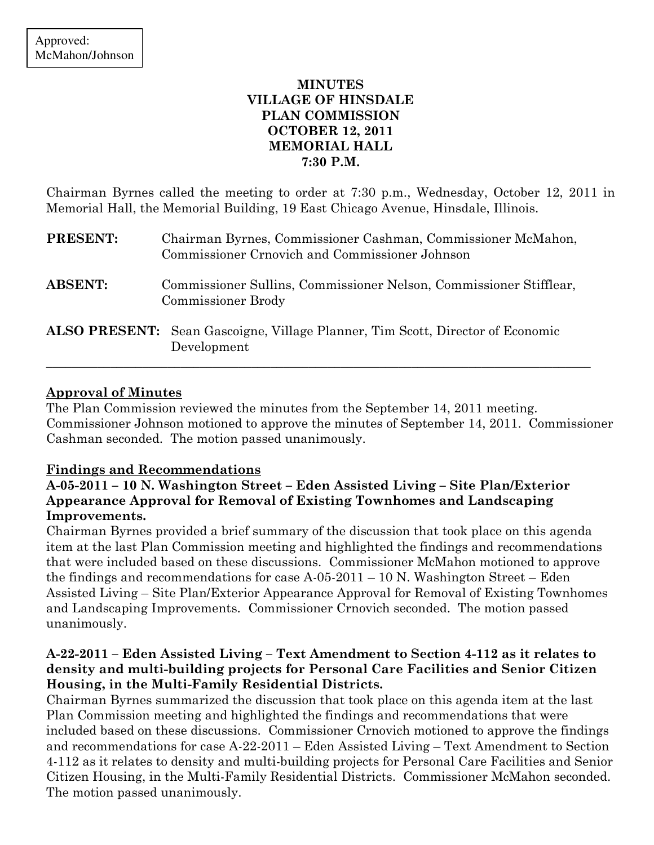## MINUTES VILLAGE OF HINSDALE PLAN COMMISSION OCTOBER 12, 2011 MEMORIAL HALL 7:30 P.M.

Chairman Byrnes called the meeting to order at 7:30 p.m., Wednesday, October 12, 2011 in Memorial Hall, the Memorial Building, 19 East Chicago Avenue, Hinsdale, Illinois.

| <b>PRESENT:</b> | Chairman Byrnes, Commissioner Cashman, Commissioner McMahon,<br>Commissioner Crnovich and Commissioner Johnson |
|-----------------|----------------------------------------------------------------------------------------------------------------|
| <b>ABSENT:</b>  | Commissioner Sullins, Commissioner Nelson, Commissioner Stifflear,<br><b>Commissioner Brody</b>                |
|                 | <b>ALSO PRESENT:</b> Sean Gascoigne, Village Planner, Tim Scott, Director of Economic<br>Development           |

\_\_\_\_\_\_\_\_\_\_\_\_\_\_\_\_\_\_\_\_\_\_\_\_\_\_\_\_\_\_\_\_\_\_\_\_\_\_\_\_\_\_\_\_\_\_\_\_\_\_\_\_\_\_\_\_\_\_\_\_\_\_\_\_\_\_\_\_\_\_\_\_\_\_\_\_\_\_\_\_\_\_\_\_\_

## Approval of Minutes

The Plan Commission reviewed the minutes from the September 14, 2011 meeting. Commissioner Johnson motioned to approve the minutes of September 14, 2011. Commissioner Cashman seconded. The motion passed unanimously.

### Findings and Recommendations

## A-05-2011 – 10 N. Washington Street – Eden Assisted Living – Site Plan/Exterior Appearance Approval for Removal of Existing Townhomes and Landscaping Improvements.

Chairman Byrnes provided a brief summary of the discussion that took place on this agenda item at the last Plan Commission meeting and highlighted the findings and recommendations that were included based on these discussions. Commissioner McMahon motioned to approve the findings and recommendations for case A-05-2011 – 10 N. Washington Street – Eden Assisted Living – Site Plan/Exterior Appearance Approval for Removal of Existing Townhomes and Landscaping Improvements. Commissioner Crnovich seconded. The motion passed unanimously.

## A-22-2011 – Eden Assisted Living – Text Amendment to Section 4-112 as it relates to density and multi-building projects for Personal Care Facilities and Senior Citizen Housing, in the Multi-Family Residential Districts.

Chairman Byrnes summarized the discussion that took place on this agenda item at the last Plan Commission meeting and highlighted the findings and recommendations that were included based on these discussions. Commissioner Crnovich motioned to approve the findings and recommendations for case A-22-2011 – Eden Assisted Living – Text Amendment to Section 4-112 as it relates to density and multi-building projects for Personal Care Facilities and Senior Citizen Housing, in the Multi-Family Residential Districts. Commissioner McMahon seconded. The motion passed unanimously.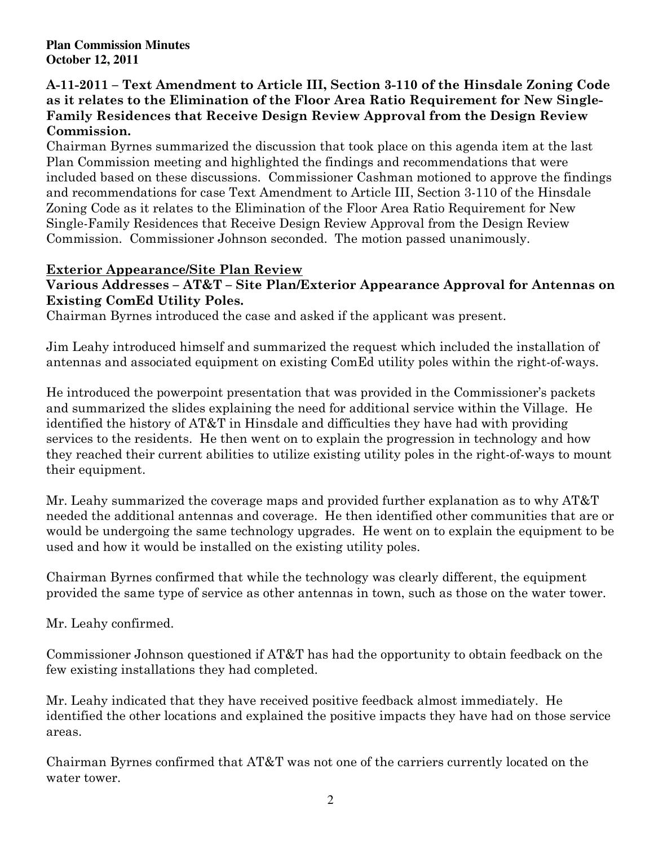### A-11-2011 – Text Amendment to Article III, Section 3-110 of the Hinsdale Zoning Code as it relates to the Elimination of the Floor Area Ratio Requirement for New Single-Family Residences that Receive Design Review Approval from the Design Review Commission.

Chairman Byrnes summarized the discussion that took place on this agenda item at the last Plan Commission meeting and highlighted the findings and recommendations that were included based on these discussions. Commissioner Cashman motioned to approve the findings and recommendations for case Text Amendment to Article III, Section 3-110 of the Hinsdale Zoning Code as it relates to the Elimination of the Floor Area Ratio Requirement for New Single-Family Residences that Receive Design Review Approval from the Design Review Commission. Commissioner Johnson seconded. The motion passed unanimously.

## Exterior Appearance/Site Plan Review

## Various Addresses – AT&T – Site Plan/Exterior Appearance Approval for Antennas on Existing ComEd Utility Poles.

Chairman Byrnes introduced the case and asked if the applicant was present.

Jim Leahy introduced himself and summarized the request which included the installation of antennas and associated equipment on existing ComEd utility poles within the right-of-ways.

He introduced the powerpoint presentation that was provided in the Commissioner's packets and summarized the slides explaining the need for additional service within the Village. He identified the history of AT&T in Hinsdale and difficulties they have had with providing services to the residents. He then went on to explain the progression in technology and how they reached their current abilities to utilize existing utility poles in the right-of-ways to mount their equipment.

Mr. Leahy summarized the coverage maps and provided further explanation as to why AT&T needed the additional antennas and coverage. He then identified other communities that are or would be undergoing the same technology upgrades. He went on to explain the equipment to be used and how it would be installed on the existing utility poles.

Chairman Byrnes confirmed that while the technology was clearly different, the equipment provided the same type of service as other antennas in town, such as those on the water tower.

Mr. Leahy confirmed.

Commissioner Johnson questioned if AT&T has had the opportunity to obtain feedback on the few existing installations they had completed.

Mr. Leahy indicated that they have received positive feedback almost immediately. He identified the other locations and explained the positive impacts they have had on those service areas.

Chairman Byrnes confirmed that AT&T was not one of the carriers currently located on the water tower.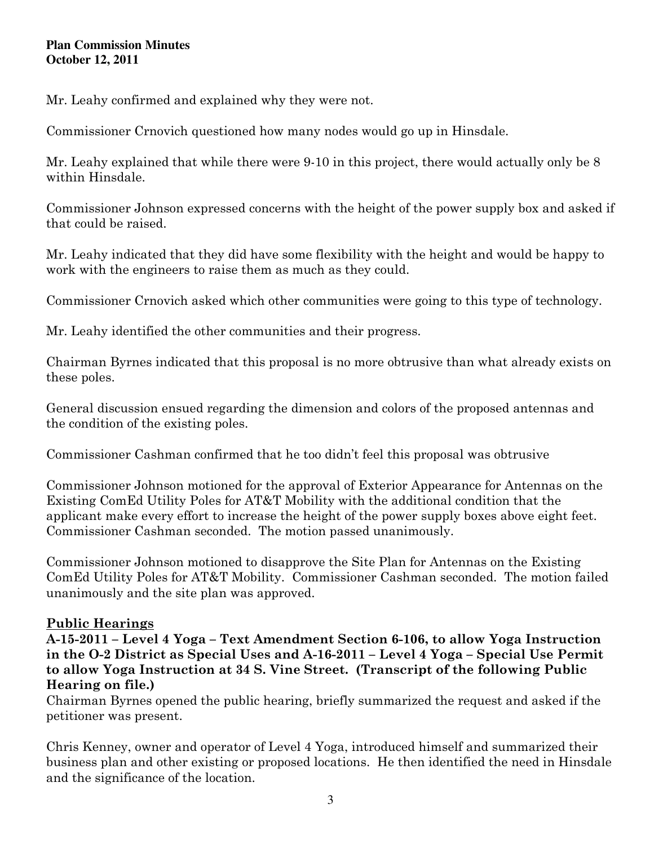Mr. Leahy confirmed and explained why they were not.

Commissioner Crnovich questioned how many nodes would go up in Hinsdale.

Mr. Leahy explained that while there were 9-10 in this project, there would actually only be 8 within Hinsdale.

Commissioner Johnson expressed concerns with the height of the power supply box and asked if that could be raised.

Mr. Leahy indicated that they did have some flexibility with the height and would be happy to work with the engineers to raise them as much as they could.

Commissioner Crnovich asked which other communities were going to this type of technology.

Mr. Leahy identified the other communities and their progress.

Chairman Byrnes indicated that this proposal is no more obtrusive than what already exists on these poles.

General discussion ensued regarding the dimension and colors of the proposed antennas and the condition of the existing poles.

Commissioner Cashman confirmed that he too didn't feel this proposal was obtrusive

Commissioner Johnson motioned for the approval of Exterior Appearance for Antennas on the Existing ComEd Utility Poles for AT&T Mobility with the additional condition that the applicant make every effort to increase the height of the power supply boxes above eight feet. Commissioner Cashman seconded. The motion passed unanimously.

Commissioner Johnson motioned to disapprove the Site Plan for Antennas on the Existing ComEd Utility Poles for AT&T Mobility. Commissioner Cashman seconded. The motion failed unanimously and the site plan was approved.

# Public Hearings

A-15-2011 – Level 4 Yoga – Text Amendment Section 6-106, to allow Yoga Instruction in the O-2 District as Special Uses and A-16-2011 – Level 4 Yoga – Special Use Permit to allow Yoga Instruction at 34 S. Vine Street. (Transcript of the following Public Hearing on file.)

Chairman Byrnes opened the public hearing, briefly summarized the request and asked if the petitioner was present.

Chris Kenney, owner and operator of Level 4 Yoga, introduced himself and summarized their business plan and other existing or proposed locations. He then identified the need in Hinsdale and the significance of the location.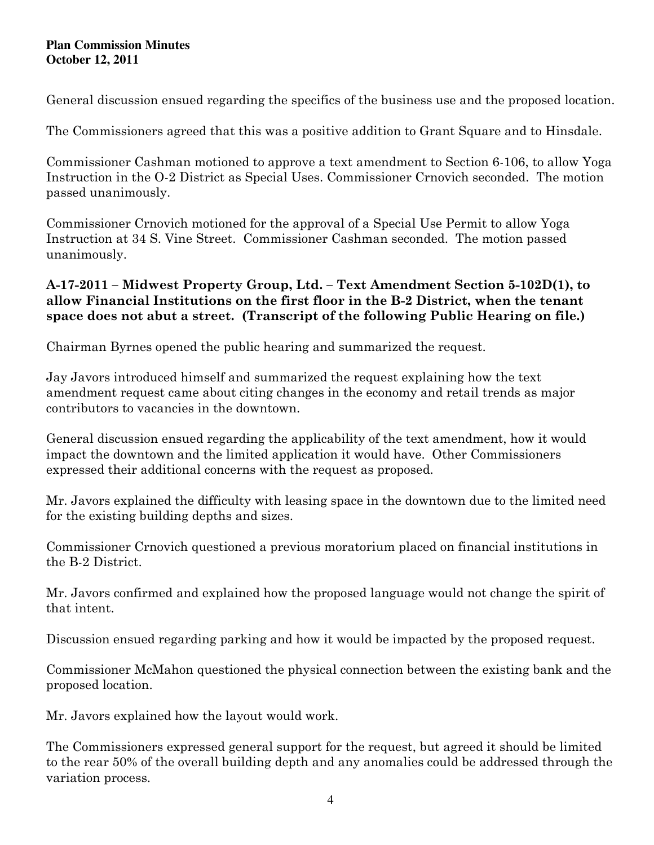General discussion ensued regarding the specifics of the business use and the proposed location.

The Commissioners agreed that this was a positive addition to Grant Square and to Hinsdale.

Commissioner Cashman motioned to approve a text amendment to Section 6-106, to allow Yoga Instruction in the O-2 District as Special Uses. Commissioner Crnovich seconded. The motion passed unanimously.

Commissioner Crnovich motioned for the approval of a Special Use Permit to allow Yoga Instruction at 34 S. Vine Street. Commissioner Cashman seconded. The motion passed unanimously.

## A-17-2011 – Midwest Property Group, Ltd. – Text Amendment Section 5-102D(1), to allow Financial Institutions on the first floor in the B-2 District, when the tenant space does not abut a street. (Transcript of the following Public Hearing on file.)

Chairman Byrnes opened the public hearing and summarized the request.

Jay Javors introduced himself and summarized the request explaining how the text amendment request came about citing changes in the economy and retail trends as major contributors to vacancies in the downtown.

General discussion ensued regarding the applicability of the text amendment, how it would impact the downtown and the limited application it would have. Other Commissioners expressed their additional concerns with the request as proposed.

Mr. Javors explained the difficulty with leasing space in the downtown due to the limited need for the existing building depths and sizes.

Commissioner Crnovich questioned a previous moratorium placed on financial institutions in the B-2 District.

Mr. Javors confirmed and explained how the proposed language would not change the spirit of that intent.

Discussion ensued regarding parking and how it would be impacted by the proposed request.

Commissioner McMahon questioned the physical connection between the existing bank and the proposed location.

Mr. Javors explained how the layout would work.

The Commissioners expressed general support for the request, but agreed it should be limited to the rear 50% of the overall building depth and any anomalies could be addressed through the variation process.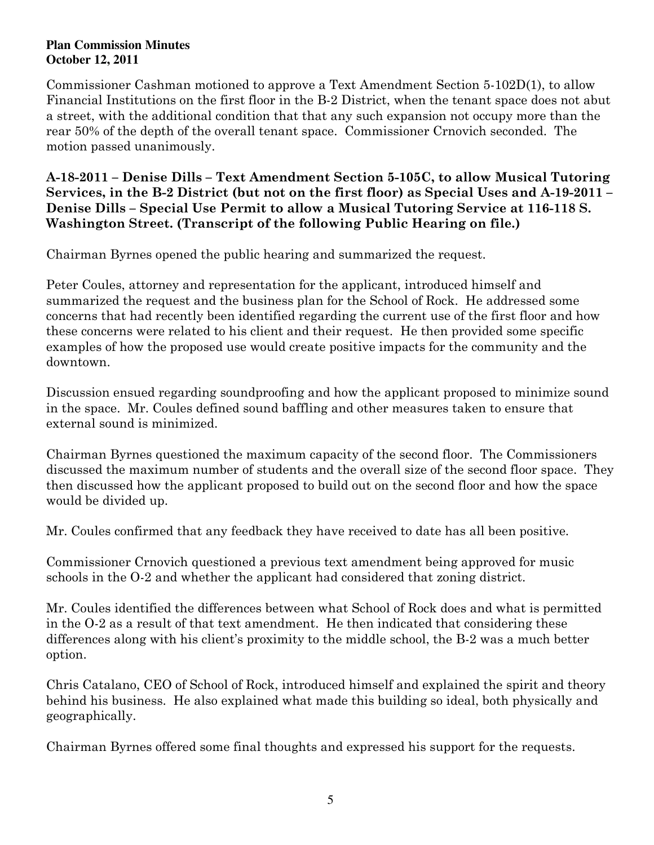Commissioner Cashman motioned to approve a Text Amendment Section 5-102D(1), to allow Financial Institutions on the first floor in the B-2 District, when the tenant space does not abut a street, with the additional condition that that any such expansion not occupy more than the rear 50% of the depth of the overall tenant space. Commissioner Crnovich seconded. The motion passed unanimously.

A-18-2011 – Denise Dills – Text Amendment Section 5-105C, to allow Musical Tutoring Services, in the B-2 District (but not on the first floor) as Special Uses and A-19-2011 – Denise Dills – Special Use Permit to allow a Musical Tutoring Service at 116-118 S. Washington Street. (Transcript of the following Public Hearing on file.)

Chairman Byrnes opened the public hearing and summarized the request.

Peter Coules, attorney and representation for the applicant, introduced himself and summarized the request and the business plan for the School of Rock. He addressed some concerns that had recently been identified regarding the current use of the first floor and how these concerns were related to his client and their request. He then provided some specific examples of how the proposed use would create positive impacts for the community and the downtown.

Discussion ensued regarding soundproofing and how the applicant proposed to minimize sound in the space. Mr. Coules defined sound baffling and other measures taken to ensure that external sound is minimized.

Chairman Byrnes questioned the maximum capacity of the second floor. The Commissioners discussed the maximum number of students and the overall size of the second floor space. They then discussed how the applicant proposed to build out on the second floor and how the space would be divided up.

Mr. Coules confirmed that any feedback they have received to date has all been positive.

Commissioner Crnovich questioned a previous text amendment being approved for music schools in the O-2 and whether the applicant had considered that zoning district.

Mr. Coules identified the differences between what School of Rock does and what is permitted in the O-2 as a result of that text amendment. He then indicated that considering these differences along with his client's proximity to the middle school, the B-2 was a much better option.

Chris Catalano, CEO of School of Rock, introduced himself and explained the spirit and theory behind his business. He also explained what made this building so ideal, both physically and geographically.

Chairman Byrnes offered some final thoughts and expressed his support for the requests.